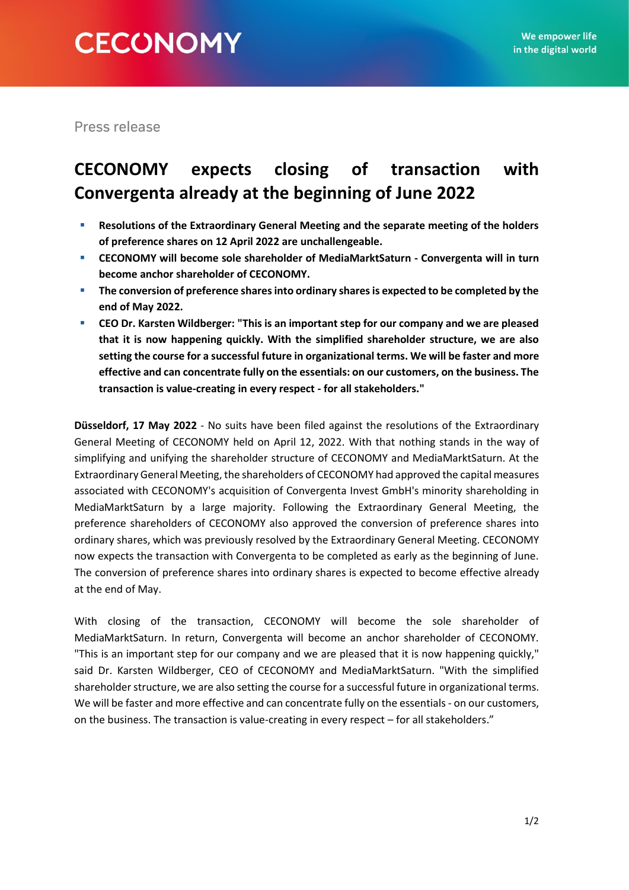Press release

## **CECONOMY expects closing of transaction with Convergenta already at the beginning of June 2022**

- **EXECUTE:** Resolutions of the Extraordinary General Meeting and the separate meeting of the holders **of preference shares on 12 April 2022 are unchallengeable.**
- **CECONOMY will become sole shareholder of MediaMarktSaturn - Convergenta will in turn become anchor shareholder of CECONOMY.**
- **EXECTE 1** The conversion of preference shares into ordinary shares is expected to be completed by the **end of May 2022.**
- **CEO Dr. Karsten Wildberger: "This is an important step for our company and we are pleased that it is now happening quickly. With the simplified shareholder structure, we are also setting the course for a successful future in organizational terms. We will be faster and more effective and can concentrate fully on the essentials: on our customers, on the business. The transaction is value-creating in every respect - for all stakeholders."**

**Düsseldorf, 17 May 2022** - No suits have been filed against the resolutions of the Extraordinary General Meeting of CECONOMY held on April 12, 2022. With that nothing stands in the way of simplifying and unifying the shareholder structure of CECONOMY and MediaMarktSaturn. At the Extraordinary General Meeting, the shareholders of CECONOMY had approved the capital measures associated with CECONOMY's acquisition of Convergenta Invest GmbH's minority shareholding in MediaMarktSaturn by a large majority. Following the Extraordinary General Meeting, the preference shareholders of CECONOMY also approved the conversion of preference shares into ordinary shares, which was previously resolved by the Extraordinary General Meeting. CECONOMY now expects the transaction with Convergenta to be completed as early as the beginning of June. The conversion of preference shares into ordinary shares is expected to become effective already at the end of May.

With closing of the transaction, CECONOMY will become the sole shareholder of MediaMarktSaturn. In return, Convergenta will become an anchor shareholder of CECONOMY. "This is an important step for our company and we are pleased that it is now happening quickly," said Dr. Karsten Wildberger, CEO of CECONOMY and MediaMarktSaturn. "With the simplified shareholder structure, we are also setting the course for a successful future in organizational terms. We will be faster and more effective and can concentrate fully on the essentials - on our customers, on the business. The transaction is value-creating in every respect – for all stakeholders."